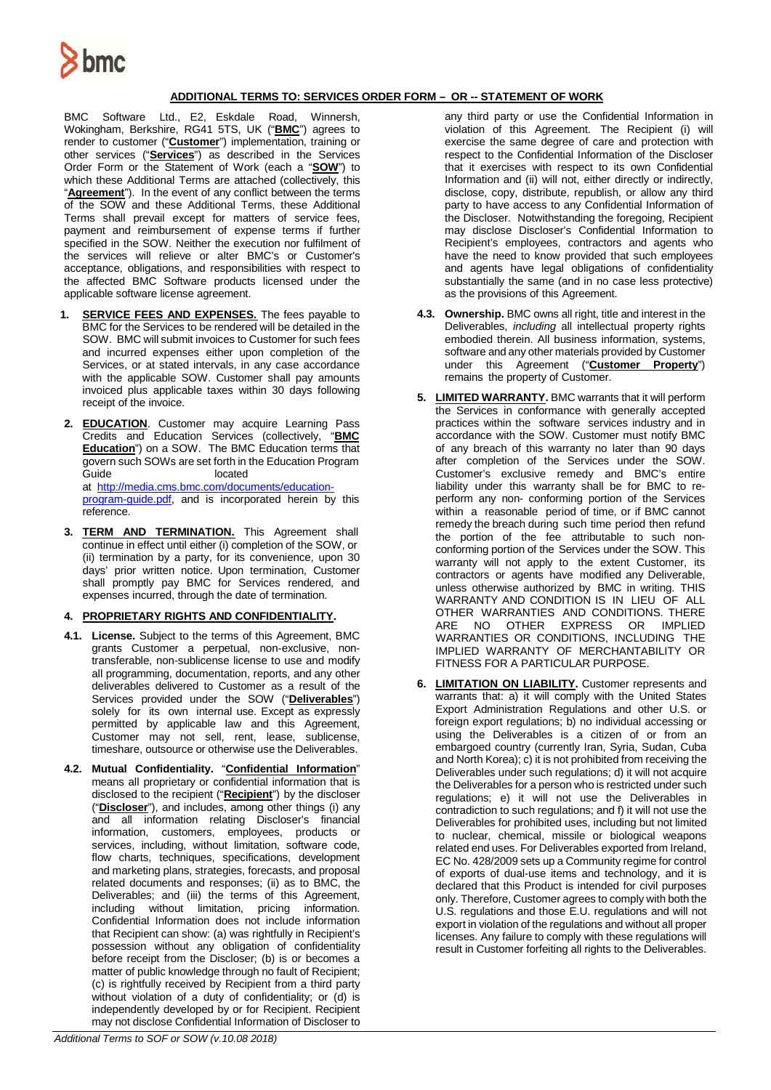

## **ADDITIONAL TERMS TO: SERVICES ORDER FORM – OR -- STATEMENT OF WORK**

BMC Software Ltd., E2, Eskdale Road, Winnersh, Wokingham, Berkshire, RG41 5TS, UK ("**BMC**") agrees to render to customer ("**Customer**") implementation, training or other services ("**Services**") as described in the Services Order Form or the Statement of Work (each a "**SOW**") to which these Additional Terms are attached (collectively, this "**Agreement**"). In the event of any conflict between the terms of the SOW and these Additional Terms, these Additional Terms shall prevail except for matters of service fees, payment and reimbursement of expense terms if further specified in the SOW. Neither the execution nor fulfilment of the services will relieve or alter BMC's or Customer's acceptance, obligations, and responsibilities with respect to the affected BMC Software products licensed under the applicable software license agreement.

- **1. SERVICE FEES AND EXPENSES.** The fees payable to BMC for the Services to be rendered will be detailed in the SOW. BMC will submit invoices to Customer for such fees and incurred expenses either upon completion of the Services, or at stated intervals, in any case accordance with the applicable SOW. Customer shall pay amounts invoiced plus applicable taxes within 30 days following receipt of the invoice.
- **2. EDUCATION**. Customer may acquire Learning Pass Credits and Education Services (collectively, "**BMC Education**") on a SOW. The BMC Education terms that govern such SOWs are set forth in the Education Program<br>Guide located Guide **located** at [http://media.cms.bmc.com/documents/education](http://media.cms.bmc.com/documents/education-program-guide.pdf)[program-guide.pdf,](http://media.cms.bmc.com/documents/education-program-guide.pdf) and is incorporated herein by this reference.
- **3. TERM AND TERMINATION.** This Agreement shall continue in effect until either (i) completion of the SOW, or (ii) termination by a party, for its convenience, upon 30 days' prior written notice. Upon termination, Customer shall promptly pay BMC for Services rendered, and expenses incurred, through the date of termination.

## **4. PROPRIETARY RIGHTS AND CONFIDENTIALITY.**

- **4.1. License.** Subject to the terms of this Agreement, BMC grants Customer a perpetual, non-exclusive, nontransferable, non-sublicense license to use and modify all programming, documentation, reports, and any other deliverables delivered to Customer as a result of the Services provided under the SOW ("**Deliverables**") solely for its own internal use. Except as expressly permitted by applicable law and this Agreement, Customer may not sell, rent, lease, sublicense, timeshare, outsource or otherwise use the Deliverables.
- **4.2. Mutual Confidentiality.** "**Confidential Information**" means all proprietary or confidential information that is disclosed to the recipient ("**Recipient**") by the discloser ("**Discloser**"), and includes, among other things (i) any and all information relating Discloser's financial information, customers, employees, products or services, including, without limitation, software code, flow charts, techniques, specifications, development and marketing plans, strategies, forecasts, and proposal related documents and responses; (ii) as to BMC, the Deliverables; and (iii) the terms of this Agreement, including without limitation, pricing information. Confidential Information does not include information that Recipient can show: (a) was rightfully in Recipient's possession without any obligation of confidentiality before receipt from the Discloser; (b) is or becomes a matter of public knowledge through no fault of Recipient; (c) is rightfully received by Recipient from a third party without violation of a duty of confidentiality; or (d) is independently developed by or for Recipient. Recipient may not disclose Confidential Information of Discloser to

any third party or use the Confidential Information in violation of this Agreement. The Recipient (i) will exercise the same degree of care and protection with respect to the Confidential Information of the Discloser that it exercises with respect to its own Confidential Information and (ii) will not, either directly or indirectly, disclose, copy, distribute, republish, or allow any third party to have access to any Confidential Information of the Discloser. Notwithstanding the foregoing, Recipient may disclose Discloser's Confidential Information to Recipient's employees, contractors and agents who have the need to know provided that such employees and agents have legal obligations of confidentiality substantially the same (and in no case less protective) as the provisions of this Agreement.

- **4.3. Ownership.** BMC owns all right, title and interest in the Deliverables, *including* all intellectual property rights embodied therein. All business information, systems, software and any other materials provided by Customer under this Agreement ("**Customer Property**") remains the property of Customer.
- **5. LIMITED WARRANTY.** BMC warrants that it will perform the Services in conformance with generally accepted practices within the software services industry and in accordance with the SOW. Customer must notify BMC of any breach of this warranty no later than 90 days after completion of the Services under the SOW. Customer's exclusive remedy and BMC's entire liability under this warranty shall be for BMC to reperform any non- conforming portion of the Services within a reasonable period of time, or if BMC cannot remedy the breach during such time period then refund the portion of the fee attributable to such nonconforming portion of the Services under the SOW. This warranty will not apply to the extent Customer, its contractors or agents have modified any Deliverable, unless otherwise authorized by BMC in writing. THIS WARRANTY AND CONDITION IS IN LIEU OF ALL OTHER WARRANTIES AND CONDITIONS. THERE ARE NO OTHER EXPRESS OR IMPLIED WARRANTIES OR CONDITIONS, INCLUDING THE IMPLIED WARRANTY OF MERCHANTABILITY OR FITNESS FOR A PARTICULAR PURPOSE.
- **6. LIMITATION ON LIABILITY.** Customer represents and warrants that: a) it will comply with the United States Export Administration Regulations and other U.S. or foreign export regulations; b) no individual accessing or using the Deliverables is a citizen of or from an embargoed country (currently Iran, Syria, Sudan, Cuba and North Korea); c) it is not prohibited from receiving the Deliverables under such regulations; d) it will not acquire the Deliverables for a person who is restricted under such regulations; e) it will not use the Deliverables in contradiction to such regulations; and f) it will not use the Deliverables for prohibited uses, including but not limited to nuclear, chemical, missile or biological weapons related end uses. For Deliverables exported from Ireland, EC No. 428/2009 sets up a Community regime for control of exports of dual-use items and technology, and it is declared that this Product is intended for civil purposes only. Therefore, Customer agrees to comply with both the U.S. regulations and those E.U. regulations and will not export in violation of the regulations and without all proper licenses. Any failure to comply with these regulations will result in Customer forfeiting all rights to the Deliverables.